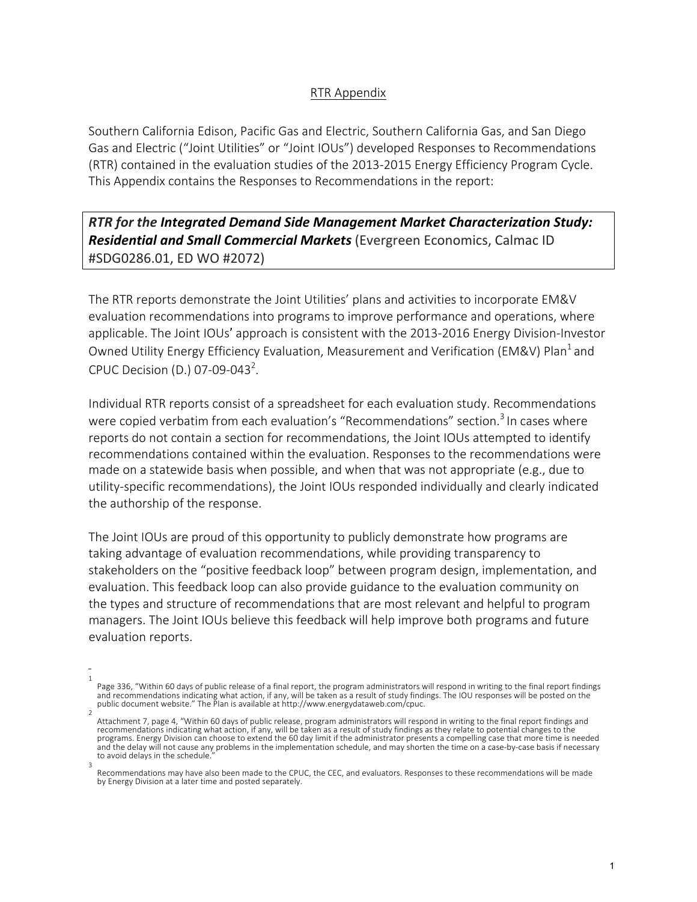## RTR Appendix

Southern California Edison, Pacific Gas and Electric, Southern California Gas, and San Diego Gas and Electric ("Joint Utilities" or "Joint IOUs") developed Responses to Recommendations (RTR) contained in the evaluation studies of the 2013-2015 Energy Efficiency Program Cycle. This Appendix contains the Responses to Recommendations in the report:

## *RTR* for the Integrated Demand Side Management Market Characterization Study: **Residential and Small Commercial Markets** (Evergreen Economics, Calmac ID #SDG0286.01, ED WO #2072)

The RTR reports demonstrate the Joint Utilities' plans and activities to incorporate EM&V evaluation recommendations into programs to improve performance and operations, where applicable. The Joint IOUs' approach is consistent with the 2013-2016 Energy Division-Investor Owned Utility Energy Efficiency Evaluation, Measurement and Verification (EM&V) Plan<sup>1</sup> and CPUC Decision (D.) 07-09-043<sup>2</sup>.

Individual RTR reports consist of a spreadsheet for each evaluation study. Recommendations were copied verbatim from each evaluation's "Recommendations" section.<sup>3</sup> In cases where reports do not contain a section for recommendations, the Joint IOUs attempted to identify recommendations contained within the evaluation. Responses to the recommendations were made on a statewide basis when possible, and when that was not appropriate (e.g., due to utility-specific recommendations), the Joint IOUs responded individually and clearly indicated the authorship of the response.

The Joint IOUs are proud of this opportunity to publicly demonstrate how programs are taking advantage of evaluation recommendations, while providing transparency to stakeholders on the "positive feedback loop" between program design, implementation, and evaluation. This feedback loop can also provide guidance to the evaluation community on the types and structure of recommendations that are most relevant and helpful to program managers. The Joint IOUs believe this feedback will help improve both programs and future evaluation reports.

<sup>1</sup> Page 336, "Within 60 days of public release of a final report, the program administrators will respond in writing to the final report findings and recommendations indicating what action, if any, will be taken as a result of study findings. The IOU responses will be posted on the<br>public document website." The Plan is available at http://www.energydataweb.com/cpuc.

<sup>2</sup> Attachment 7, page 4, "Within 60 days of public release, program administrators will respond in writing to the final report findings and recommendations indicating what action, if any, will be taken as a result of study findings as they relate to potential changes to the<br>programs. Energy Division can choose to extend the 60 day limit if the administrator pr and the delay will not cause any problems in the implementation schedule, and may shorten the time on a case-by-case basis if necessary to avoid delays in the schedule.

<sup>3</sup> Recommendations may have also been made to the CPUC, the CEC, and evaluators. Responses to these recommendations will be made by Energy Division at a later time and posted separately.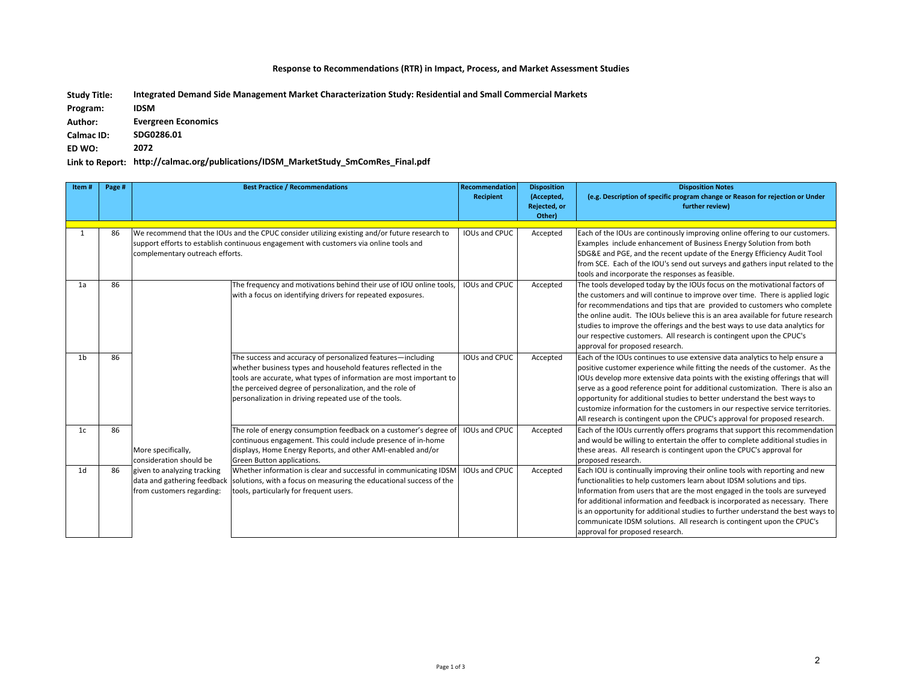## **Response to Recommendations (RTR) in Impact, Process, and Market Assessment Studies**

**Integrated Demand Side Management Market Characterization Study: Residential and Small Commercial Markets Study Title:** 

**IDSM Program:** 

**Evergreen Economics** Author:

**SDG0286.01 Calmac ID:**

**2072 ED WO:** 

## Link to Report: http://calmac.org/publications/IDSM\_MarketStudy\_SmComRes\_Final.pdf

| Item#          | Page # |                                                                                                                                                                                                                            | <b>Best Practice / Recommendations</b>                                                                                                                                                                                                                                                                                    | <b>Recommendation</b><br><b>Recipient</b> | <b>Disposition</b><br>(Accepted,<br>Rejected, or<br>Other) | <b>Disposition Notes</b><br>(e.g. Description of specific program change or Reason for rejection or Under<br>further review)                                                                                                                                                                                                                                                                                                                                                                                                                                               |
|----------------|--------|----------------------------------------------------------------------------------------------------------------------------------------------------------------------------------------------------------------------------|---------------------------------------------------------------------------------------------------------------------------------------------------------------------------------------------------------------------------------------------------------------------------------------------------------------------------|-------------------------------------------|------------------------------------------------------------|----------------------------------------------------------------------------------------------------------------------------------------------------------------------------------------------------------------------------------------------------------------------------------------------------------------------------------------------------------------------------------------------------------------------------------------------------------------------------------------------------------------------------------------------------------------------------|
|                | 86     | We recommend that the IOUs and the CPUC consider utilizing existing and/or future research to<br>support efforts to establish continuous engagement with customers via online tools and<br>complementary outreach efforts. |                                                                                                                                                                                                                                                                                                                           | IOUs and CPUC                             | Accepted                                                   | Each of the IOUs are continously improving online offering to our customers.<br>Examples include enhancement of Business Energy Solution from both<br>SDG&E and PGE, and the recent update of the Energy Efficiency Audit Tool<br>from SCE. Each of the IOU's send out surveys and gathers input related to the<br>tools and incorporate the responses as feasible.                                                                                                                                                                                                        |
| 1a             | 86     |                                                                                                                                                                                                                            | The frequency and motivations behind their use of IOU online tools,<br>with a focus on identifying drivers for repeated exposures.                                                                                                                                                                                        | <b>IOUs and CPUC</b>                      | Accepted                                                   | The tools developed today by the IOUs focus on the motivational factors of<br>the customers and will continue to improve over time. There is applied logic<br>for recommendations and tips that are provided to customers who complete<br>the online audit. The IOUs believe this is an area available for future research<br>studies to improve the offerings and the best ways to use data analytics for<br>our respective customers. All research is contingent upon the CPUC's<br>approval for proposed research.                                                      |
| 1 <sub>b</sub> | 86     |                                                                                                                                                                                                                            | The success and accuracy of personalized features-including<br>whether business types and household features reflected in the<br>tools are accurate, what types of information are most important to<br>the perceived degree of personalization, and the role of<br>personalization in driving repeated use of the tools. | IOUs and CPUC                             | Accepted                                                   | Each of the IOUs continues to use extensive data analytics to help ensure a<br>positive customer experience while fitting the needs of the customer. As the<br>IOUs develop more extensive data points with the existing offerings that will<br>serve as a good reference point for additional customization. There is also an<br>opportunity for additional studies to better understand the best ways to<br>customize information for the customers in our respective service territories.<br>All research is contingent upon the CPUC's approval for proposed research. |
| 1 <sub>c</sub> | 86     | More specifically,<br>consideration should be                                                                                                                                                                              | The role of energy consumption feedback on a customer's degree of<br>continuous engagement. This could include presence of in-home<br>displays, Home Energy Reports, and other AMI-enabled and/or<br>Green Button applications.                                                                                           | <b>IOUs and CPUC</b>                      | Accepted                                                   | Each of the IOUs currently offers programs that support this recommendation<br>and would be willing to entertain the offer to complete additional studies in<br>these areas. All research is contingent upon the CPUC's approval for<br>proposed research.                                                                                                                                                                                                                                                                                                                 |
| 1 <sub>d</sub> | 86     | given to analyzing tracking<br>data and gathering feedback<br>from customers regarding:                                                                                                                                    | Whether information is clear and successful in communicating IDSM<br>solutions, with a focus on measuring the educational success of the<br>tools, particularly for frequent users.                                                                                                                                       | IOUs and CPUC                             | Accepted                                                   | Each IOU is continually improving their online tools with reporting and new<br>functionalities to help customers learn about IDSM solutions and tips.<br>Information from users that are the most engaged in the tools are surveyed<br>for additional information and feedback is incorporated as necessary. There<br>is an opportunity for additional studies to further understand the best ways to<br>communicate IDSM solutions. All research is contingent upon the CPUC's<br>approval for proposed research.                                                         |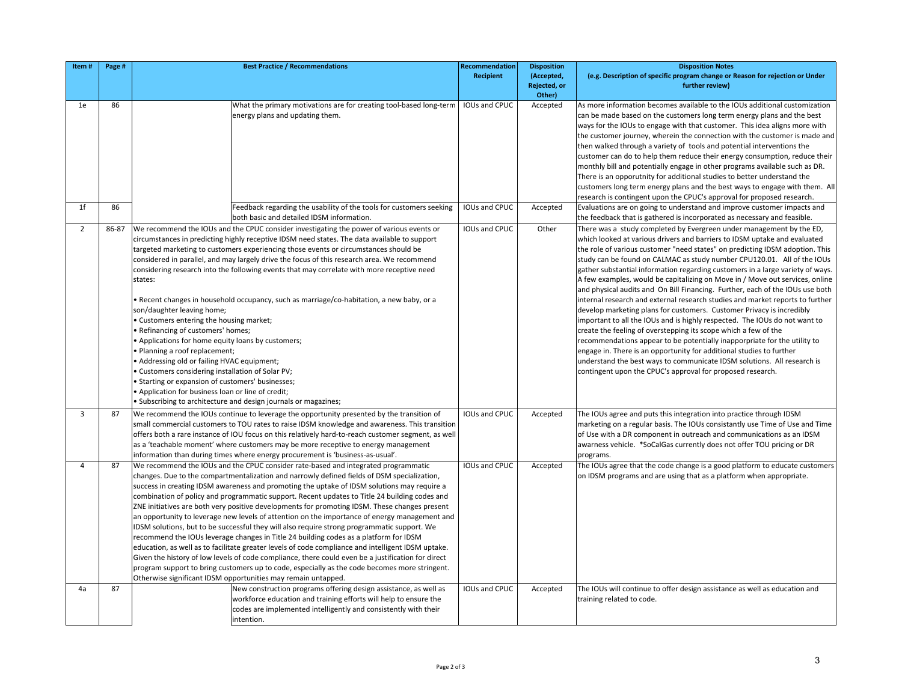| Item#          | Page # | <b>Best Practice / Recommendations</b>                                                                                                                                                                                                                                                                                                                                                                                                                                                                                                                                                                                                                                                                                                                                                                                                                                                                                                                                                                                                                                                                                                                    | Recommendation<br><b>Recipient</b> | <b>Disposition</b><br>(Accepted,<br>Rejected, or<br>Other) | <b>Disposition Notes</b><br>(e.g. Description of specific program change or Reason for rejection or Under<br>further review)                                                                                                                                                                                                                                                                                                                                                                                                                                                                                                                                                                                                                                                                                                                                                                                                                                                                                                                                                                                                                                             |
|----------------|--------|-----------------------------------------------------------------------------------------------------------------------------------------------------------------------------------------------------------------------------------------------------------------------------------------------------------------------------------------------------------------------------------------------------------------------------------------------------------------------------------------------------------------------------------------------------------------------------------------------------------------------------------------------------------------------------------------------------------------------------------------------------------------------------------------------------------------------------------------------------------------------------------------------------------------------------------------------------------------------------------------------------------------------------------------------------------------------------------------------------------------------------------------------------------|------------------------------------|------------------------------------------------------------|--------------------------------------------------------------------------------------------------------------------------------------------------------------------------------------------------------------------------------------------------------------------------------------------------------------------------------------------------------------------------------------------------------------------------------------------------------------------------------------------------------------------------------------------------------------------------------------------------------------------------------------------------------------------------------------------------------------------------------------------------------------------------------------------------------------------------------------------------------------------------------------------------------------------------------------------------------------------------------------------------------------------------------------------------------------------------------------------------------------------------------------------------------------------------|
| 1e             | 86     | What the primary motivations are for creating tool-based long-term<br>energy plans and updating them.                                                                                                                                                                                                                                                                                                                                                                                                                                                                                                                                                                                                                                                                                                                                                                                                                                                                                                                                                                                                                                                     | IOUs and CPUC                      | Accepted                                                   | As more information becomes available to the IOUs additional customization<br>can be made based on the customers long term energy plans and the best<br>ways for the IOUs to engage with that customer. This idea aligns more with<br>the customer journey, wherein the connection with the customer is made and<br>then walked through a variety of tools and potential interventions the<br>customer can do to help them reduce their energy consumption, reduce their<br>monthly bill and potentially engage in other programs available such as DR.<br>There is an opporutnity for additional studies to better understand the<br>customers long term energy plans and the best ways to engage with them. All<br>research is contingent upon the CPUC's approval for proposed research.                                                                                                                                                                                                                                                                                                                                                                              |
| 1 <sup>f</sup> | 86     | Feedback regarding the usability of the tools for customers seeking<br>both basic and detailed IDSM information.                                                                                                                                                                                                                                                                                                                                                                                                                                                                                                                                                                                                                                                                                                                                                                                                                                                                                                                                                                                                                                          | IOUs and CPUC                      | Accepted                                                   | Evaluations are on going to understand and improve customer impacts and<br>the feedback that is gathered is incorporated as necessary and feasible.                                                                                                                                                                                                                                                                                                                                                                                                                                                                                                                                                                                                                                                                                                                                                                                                                                                                                                                                                                                                                      |
| $\overline{2}$ | 86-87  | We recommend the IOUs and the CPUC consider investigating the power of various events or<br>circumstances in predicting highly receptive IDSM need states. The data available to support<br>targeted marketing to customers experiencing those events or circumstances should be<br>considered in parallel, and may largely drive the focus of this research area. We recommend<br>considering research into the following events that may correlate with more receptive need<br>states:<br>Recent changes in household occupancy, such as marriage/co-habitation, a new baby, or a<br>son/daughter leaving home;<br>. Customers entering the housing market;<br>· Refinancing of customers' homes;<br>. Applications for home equity loans by customers;<br>Planning a roof replacement;<br>• Addressing old or failing HVAC equipment;<br>Customers considering installation of Solar PV;<br>• Starting or expansion of customers' businesses;<br>Application for business loan or line of credit;<br>. Subscribing to architecture and design journals or magazines;                                                                                   | IOUs and CPUC                      | Other                                                      | There was a study completed by Evergreen under management by the ED,<br>which looked at various drivers and barriers to IDSM uptake and evaluated<br>the role of various customer "need states" on predicting IDSM adoption. This<br>study can be found on CALMAC as study number CPU120.01. All of the IOUs<br>gather substantial information regarding customers in a large variety of ways.<br>A few examples, would be capitalizing on Move in / Move out services, online<br>and physical audits and On Bill Financing. Further, each of the IOUs use both<br>internal research and external research studies and market reports to further<br>develop marketing plans for customers. Customer Privacy is incredibly<br>important to all the IOUs and is highly respected. The IOUs do not want to<br>create the feeling of overstepping its scope which a few of the<br>recommendations appear to be potentially inapporpriate for the utility to<br>engage in. There is an opportunity for additional studies to further<br>understand the best ways to communicate IDSM solutions. All research is<br>contingent upon the CPUC's approval for proposed research. |
| $\overline{3}$ | 87     | We recommend the IOUs continue to leverage the opportunity presented by the transition of<br>small commercial customers to TOU rates to raise IDSM knowledge and awareness. This transition<br>offers both a rare instance of IOU focus on this relatively hard-to-reach customer segment, as well<br>as a 'teachable moment' where customers may be more receptive to energy management<br>information than during times where energy procurement is 'business-as-usual'.                                                                                                                                                                                                                                                                                                                                                                                                                                                                                                                                                                                                                                                                                | IOUs and CPUC                      | Accepted                                                   | The IOUs agree and puts this integration into practice through IDSM<br>marketing on a regular basis. The IOUs consistantly use Time of Use and Time<br>of Use with a DR component in outreach and communications as an IDSM<br>awarness vehicle. *SoCalGas currently does not offer TOU pricing or DR<br>programs.                                                                                                                                                                                                                                                                                                                                                                                                                                                                                                                                                                                                                                                                                                                                                                                                                                                       |
| Δ              | 87     | We recommend the IOUs and the CPUC consider rate-based and integrated programmatic<br>changes. Due to the compartmentalization and narrowly defined fields of DSM specialization,<br>success in creating IDSM awareness and promoting the uptake of IDSM solutions may require a<br>combination of policy and programmatic support. Recent updates to Title 24 building codes and<br>ZNE initiatives are both very positive developments for promoting IDSM. These changes present<br>an opportunity to leverage new levels of attention on the importance of energy management and<br>IDSM solutions, but to be successful they will also require strong programmatic support. We<br>recommend the IOUs leverage changes in Title 24 building codes as a platform for IDSM<br>education, as well as to facilitate greater levels of code compliance and intelligent IDSM uptake.<br>Given the history of low levels of code compliance, there could even be a justification for direct<br>program support to bring customers up to code, especially as the code becomes more stringent.<br>Otherwise significant IDSM opportunities may remain untapped. | IOUs and CPUC                      | Accepted                                                   | The IOUs agree that the code change is a good platform to educate customers<br>on IDSM programs and are using that as a platform when appropriate.                                                                                                                                                                                                                                                                                                                                                                                                                                                                                                                                                                                                                                                                                                                                                                                                                                                                                                                                                                                                                       |
| 4a             | 87     | New construction programs offering design assistance, as well as<br>workforce education and training efforts will help to ensure the<br>codes are implemented intelligently and consistently with their<br>intention.                                                                                                                                                                                                                                                                                                                                                                                                                                                                                                                                                                                                                                                                                                                                                                                                                                                                                                                                     | IOUs and CPUC                      | Accepted                                                   | The IOUs will continue to offer design assistance as well as education and<br>training related to code.                                                                                                                                                                                                                                                                                                                                                                                                                                                                                                                                                                                                                                                                                                                                                                                                                                                                                                                                                                                                                                                                  |